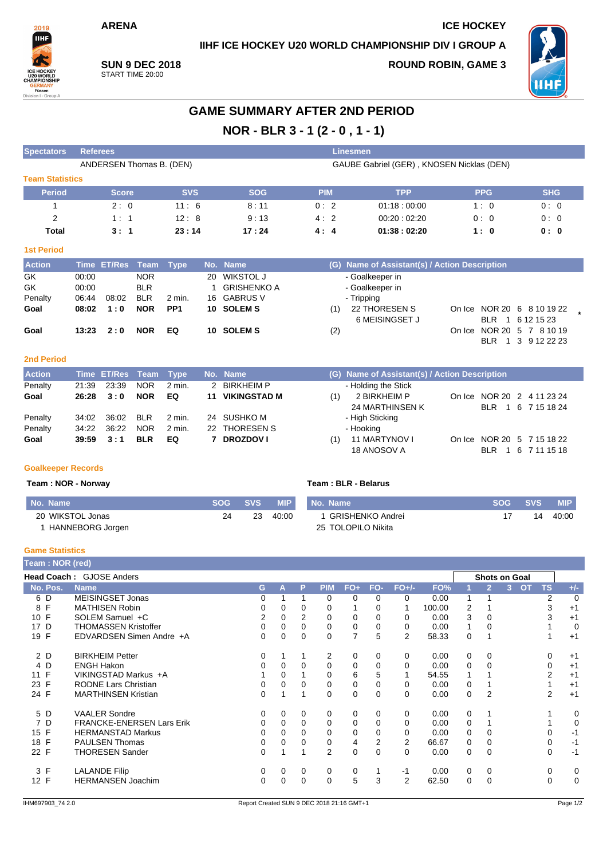**ARENA ICE HOCKEY**

**IIHF ICE HOCKEY U20 WORLD CHAMPIONSHIP DIV I GROUP A**



**SUN 9 DEC 2018** START TIME 20:00

**ROUND ROBIN, GAME 3**



# **GAME SUMMARY AFTER 2ND PERIOD NOR - BLR 3 - 1 (2 - 0 , 1 - 1)**

| <b>Spectators</b>      | <b>Referees</b>          |            |                                           |            |                                               |            |            |  |  |  |  |
|------------------------|--------------------------|------------|-------------------------------------------|------------|-----------------------------------------------|------------|------------|--|--|--|--|
|                        | ANDERSEN Thomas B. (DEN) |            | GAUBE Gabriel (GER), KNOSEN Nicklas (DEN) |            |                                               |            |            |  |  |  |  |
| <b>Team Statistics</b> |                          |            |                                           |            |                                               |            |            |  |  |  |  |
| <b>Period</b>          | <b>Score</b>             | <b>SVS</b> | <b>SOG</b>                                | <b>PIM</b> | <b>TPP</b>                                    | <b>PPG</b> | <b>SHG</b> |  |  |  |  |
|                        | 2:0                      | 11:6       | 8:11                                      | 0:2        | 01:18:00:00                                   | 1:0        | 0:0        |  |  |  |  |
| 2                      | 1:1                      | 12:8       | 9:13                                      | 4:2        | 00:20:02:20                                   | 0:0        | 0:0        |  |  |  |  |
| <b>Total</b>           | 3:1                      | 23:14      | 17:24                                     | 4:4        | 01:38:02:20                                   | 1:0        | 0: 0       |  |  |  |  |
| <b>1st Period</b>      |                          |            |                                           |            |                                               |            |            |  |  |  |  |
| <b>Action</b>          | Time ET/Res<br>Team      | Type       | No. Name                                  |            | (G) Name of Assistant(s) / Action Description |            |            |  |  |  |  |

| <b>Action</b> |       | Time ET/Res Team Type |            |                 | No. Name     |     | (G) Name of Assistant(s) / Action Description |  |                            |  |
|---------------|-------|-----------------------|------------|-----------------|--------------|-----|-----------------------------------------------|--|----------------------------|--|
| GK            | 00:00 |                       | <b>NOR</b> |                 | 20 WIKSTOL J |     | - Goalkeeper in                               |  |                            |  |
| GK            | 00:00 |                       | <b>BLR</b> |                 | GRISHENKO A  |     | - Goalkeeper in                               |  |                            |  |
| Penalty       | 06:44 | 08:02                 | <b>BLR</b> | 2 min.          | 16 GABRUS V  |     | - Tripping                                    |  |                            |  |
| Goal          | 08:02 | 1:0                   | <b>NOR</b> | PP <sub>1</sub> | 10 SOLEM S   | (1) | 22 THORESEN S                                 |  | On Ice NOR 20 6 8 10 19 22 |  |
|               |       |                       |            |                 |              |     | 6 MEISINGSET J                                |  | BLR 1 6 12 15 23           |  |
| Goal          | 13:23 | 2:0                   | <b>NOR</b> | EQ              | 10 SOLEM S   | (2) |                                               |  | On Ice NOR 20 5 7 8 10 19  |  |
|               |       |                       |            |                 |              |     |                                               |  | BLR 1 3 9 12 22 23         |  |

## **2nd Period**

| <b>Action</b> |       | Time ET/Res Team Type |            |          | No. Name               |     | (G) Name of Assistant(s) / Action Description |        |  |                            |  |
|---------------|-------|-----------------------|------------|----------|------------------------|-----|-----------------------------------------------|--------|--|----------------------------|--|
| Penalty       | 21:39 | 23:39                 | <b>NOR</b> | 2 min.   | 2 BIRKHEIM P           |     | - Holding the Stick                           |        |  |                            |  |
| Goal          | 26:28 | 3:0                   | <b>NOR</b> | EQ       | <b>11 VIKINGSTAD M</b> | (1) | 2 BIRKHEIM P                                  |        |  | On Ice NOR 20 2 4 11 23 24 |  |
|               |       |                       |            |          |                        |     | 24 MARTHINSEN K                               |        |  | BLR 1 6 7 15 18 24         |  |
| Penalty       | 34:02 | 36:02                 | <b>BLR</b> | $2$ min. | 24 SUSHKO M            |     | - High Sticking                               |        |  |                            |  |
| Penalty       | 34.22 | 36:22                 | <b>NOR</b> | 2 min.   | 22 THORESEN S          |     | - Hooking                                     |        |  |                            |  |
| Goal          | 39:59 | 3:1                   | <b>BLR</b> | EQ       | <b>DROZDOV I</b>       | (1) | 11 MARTYNOV I                                 | On Ice |  | NOR 20 5 7 15 18 22        |  |
|               |       |                       |            |          |                        |     | 18 ANOSOV A                                   |        |  | BLR 1 6 7 11 15 18         |  |

## **Goalkeeper Records**

### **Team : NOR - Norway Team : BLR - Belarus**

| No. Name         | <b>SOG</b> | <b>SVS</b> | MIP <sup>1</sup> | I No. Name         | <b>SOG</b> | <b>SVS</b> | <b>MIP</b> |
|------------------|------------|------------|------------------|--------------------|------------|------------|------------|
| 20 WIKSTOL Jonas | 24         | 23         | 40:00            | GRISHENKO Andrei   |            | 14         | 40:00      |
| HANNEBORG Jorgen |            |            |                  | 25 TOLOPILO Nikita |            |            |            |

### **Game Statistics**

| Team: NOR (red) |                                  |    |   |             |                |          |          |                |        |   |                |                      |                |          |
|-----------------|----------------------------------|----|---|-------------|----------------|----------|----------|----------------|--------|---|----------------|----------------------|----------------|----------|
|                 | <b>Head Coach: GJOSE Anders</b>  |    |   |             |                |          |          |                |        |   |                | <b>Shots on Goal</b> |                |          |
| No. Pos.        | <b>Name</b>                      | G. | A | P           | <b>PIM</b>     | $FO+$    | FO-      | $FO+/-$        | FO%    |   |                | <b>OT</b><br>3.      | <b>TS</b>      | $+/-$    |
| 6 D             | <b>MEISINGSET Jonas</b>          | 0  |   |             | $\Omega$       | 0        | $\Omega$ | 0              | 0.00   |   |                |                      | $\overline{2}$ | $\Omega$ |
| F<br>8          | <b>MATHISEN Robin</b>            | 0  | 0 | $\Omega$    | $\Omega$       |          | 0        |                | 100.00 | 2 |                |                      | 3              | $+1$     |
| F<br>10         | SOLEM Samuel +C                  | 2  | 0 | 2           | 0              | 0        | 0        | 0              | 0.00   | 3 | 0              |                      | 3              | $+1$     |
| D<br>17         | <b>THOMASSEN Kristoffer</b>      | 0  | 0 | $\Omega$    | 0              | 0        | $\Omega$ | 0              | 0.00   |   | 0              |                      |                | $\Omega$ |
| F<br>19         | EDVARDSEN Simen Andre +A         | 0  | 0 | $\mathbf 0$ | 0              | 7        | 5        | $\overline{2}$ | 58.33  | 0 |                |                      |                | $+1$     |
| 2 D             | <b>BIRKHEIM Petter</b>           | 0  |   |             | 2              | 0        | 0        | 0              | 0.00   | 0 | 0              |                      | 0              | $+1$     |
| 4 D             | <b>ENGH Hakon</b>                |    | 0 | $\Omega$    | $\Omega$       | $\Omega$ | $\Omega$ | 0              | 0.00   | 0 | $\Omega$       |                      | $\Omega$       | $+1$     |
| 11 F            | VIKINGSTAD Markus +A             |    | 0 |             | 0              | 6        | 5        |                | 54.55  |   |                |                      | 2              | $+1$     |
| F<br>23         | <b>RODNE Lars Christian</b>      | 0  | 0 | 0           | 0              | 0        | 0        | 0              | 0.00   | 0 |                |                      |                | $+1$     |
| 24 F            | <b>MARTHINSEN Kristian</b>       | 0  |   |             | 0              | 0        | $\Omega$ | 0              | 0.00   | 0 | $\overline{2}$ |                      | 2              | $+1$     |
| 5 D             | <b>VAALER Sondre</b>             | 0  | 0 | 0           | 0              | 0        | $\Omega$ | 0              | 0.00   | 0 |                |                      |                | 0        |
| 7 D             | <b>FRANCKE-ENERSEN Lars Erik</b> | 0  | 0 | 0           | 0              | 0        | 0        | 0              | 0.00   | 0 |                |                      |                | 0        |
| 15 F            | <b>HERMANSTAD Markus</b>         |    | 0 | $\Omega$    | 0              | 0        | 0        | 0              | 0.00   | 0 | 0              |                      | 0              | $-1$     |
| 18 F            | <b>PAULSEN Thomas</b>            |    | 0 | 0           | 0              | 4        | 2        | 2              | 66.67  | 0 | 0              |                      | 0              | $-1$     |
| 22 F            | <b>THORESEN Sander</b>           | 0  |   |             | $\overline{2}$ | 0        | $\Omega$ | 0              | 0.00   | 0 | $\mathbf 0$    |                      | 0              | $-1$     |
| 3 F             | <b>LALANDE Filip</b>             | 0  | 0 | 0           | 0              | 0        |          | -1             | 0.00   | 0 | 0              |                      | 0              | 0        |
| 12 F            | <b>HERMANSEN Joachim</b>         |    | 0 | $\Omega$    | $\Omega$       | 5        | 3        | 2              | 62.50  | 0 | 0              |                      | 0              | $\Omega$ |